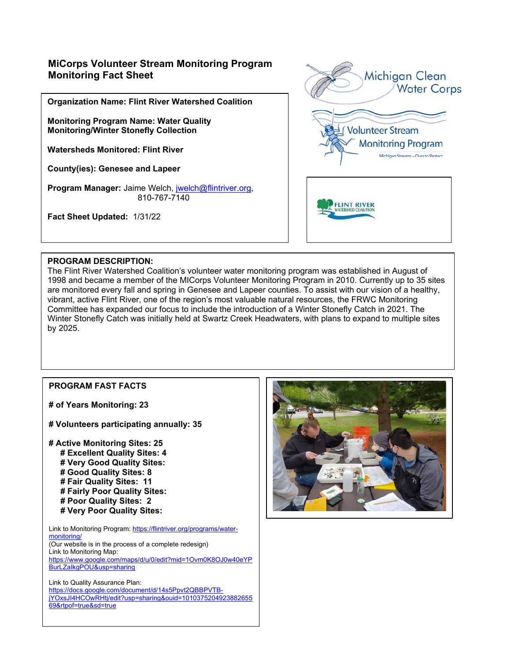## **MiCorps Volunteer Stream Monitoring Program Monitoring Fact Sheet**

**Organization Name: Flint River Watershed Coalition** 

**Monitoring Program Name: Water Quality Monitoring/Winter Stonefly Collection** 

**Watersheds Monitored: Flint River** 

**County(ies): Genesee and Lapeer** 

Program Manager: Jaime Welch, *jwelch@flintriver.org*, 810-767-7140

**Fact Sheet Updated:** 1/31/22



### **PROGRAM DESCRIPTION:**

The Flint River Watershed Coalition's volunteer water monitoring program was established in August of 1998 and became a member of the MICorps Volunteer Monitoring Program in 2010. Currently up to 35 sites are monitored every fall and spring in Genesee and Lapeer counties. To assist with our vision of a healthy, vibrant, active Flint River, one of the region's most valuable natural resources, the FRWC Monitoring Committee has expanded our focus to include the introduction of a Winter Stonefly Catch in 2021. The Winter Stonefly Catch was initially held at Swartz Creek Headwaters, with plans to expand to multiple sites by 2025.

### **PROGRAM FAST FACTS**

**# of Years Monitoring: 23** 

**# Volunteers participating annually: 35** 

**# Active Monitoring Sites: 25 # Excellent Quality Sites: 4 # Very Good Quality Sites: # Good Quality Sites: 8 # Fair Quality Sites: 11 # Fairly Poor Quality Sites: # Poor Quality Sites: 2 # Very Poor Quality Sites:** 

Link to Monitoring Program: https://flintriver.org/programs/watermonitoring/ (Our website is in the process of a complete redesign) Link to Monitoring Map: https://www.google.com/maps/d/u/0/edit?mid=1Ovm0K8OJ0w40eYP BurLZaIkgPOU&usp=sharing

Link to Quality Assurance Plan: https://docs.google.com/document/d/14s5Ppvt2QBBPVTBjYOxsJI4HCOwRHtj/edit?usp=sharing&ouid=1010375204923882655 69&rtpof=true&sd=true